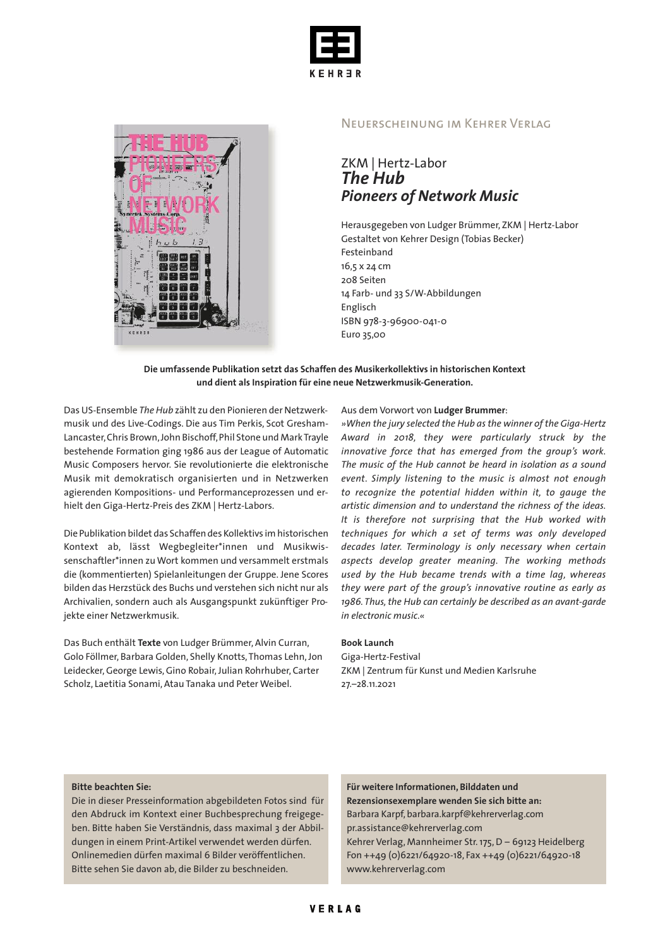



### Neuerscheinung im Kehrer Verlag

## ZKM | Hertz-Labor *The Hub Pioneers of Network Music*

Herausgegeben von Ludger Brümmer, ZKM | Hertz-Labor Gestaltet von Kehrer Design (Tobias Becker) Festeinband 16,5 x 24 cm 208 Seiten 14 Farb- und 33 S/W-Abbildungen Englisch ISBN 978-3-96900-041-0 Euro 35,00

#### **Die umfassende Publikation setzt das Schaffen des Musikerkollektivs in historischen Kontext und dient als Inspiration für eine neue Netzwerkmusik-Generation.**

Das US-Ensemble *The Hub* zählt zu den Pionieren der Netzwerkmusik und des Live-Codings. Die aus Tim Perkis, Scot Gresham-Lancaster,Chris Brown,John Bischoff,Phil Stone und MarkTrayle bestehende Formation ging 1986 aus der League of Automatic Music Composers hervor. Sie revolutionierte die elektronische Musik mit demokratisch organisierten und in Netzwerken agierenden Kompositions- und Performanceprozessen und erhielt den Giga-Hertz-Preis des ZKM | Hertz-Labors.

Die Publikation bildet das Schaffen des Kollektivs imhistorischen Kontext ab, lässt Wegbegleiter\*innen und Musikwissenschaftler\*innen zu Wort kommen und versammelt erstmals die (kommentierten) Spielanleitungen der Gruppe. Jene Scores bilden das Herzstück des Buchs und verstehen sich nicht nur als Archivalien, sondern auch als Ausgangspunkt zukünftiger Projekte einer Netzwerkmusik.

Das Buch enthält **Texte** von Ludger Brümmer, Alvin Curran, Golo Föllmer, Barbara Golden, Shelly Knotts,Thomas Lehn,Jon Leidecker,George Lewis,Gino Robair,Julian Rohrhuber, Carter Scholz, Laetitia Sonami, Atau Tanaka und Peter Weibel.

Aus dem Vorwort von **Ludger Brummer**:

*»When the jury selected the Hub as the winner of the Giga-Hertz Award in 2018, they were particularly struck by the innovative force that has emerged from the group's work. The music of the Hub cannot be heard in isolation as a sound event. Simply listening to the music is almost not enough to recognize the potential hidden within it, to gauge the artistic dimension and to understand the richness of the ideas. It is therefore not surprising that the Hub worked with techniques for which a set of terms was only developed decades later. Terminology is only necessary when certain aspects develop greater meaning. The working methods used by the Hub became trends with a time lag, whereas they were part of the group's innovative routine as early as 1986. Thus,the Hub can certainly be described as an avant-garde in electronic music*.*«*

#### **Book Launch**

Giga-Hertz-Festival ZKM | Zentrum für Kunst und Medien Karlsruhe 27.–28.11.2021

#### **Bitte beachten Sie:**

Die in dieser Presseinformation abgebildeten Fotos sind für den Abdruck im Kontext einer Buchbesprechung freigegeben. Bitte haben Sie Verständnis, dass maximal 3 der Abbildungen in einem Print-Artikel verwendet werden dürfen. Onlinemedien dürfen maximal 6 Bilder veröffentlichen. Bitte sehen Sie davon ab, die Bilder zu beschneiden.

**Für weitere Informationen, Bilddaten und Rezensionsexemplare wenden Sie sich bitte an:** Barbara Karpf, barbara.karpf@kehrerverlag.com pr.assistance@kehrerverlag.com Kehrer Verlag, Mannheimer Str.175,D – 69123 Heidelberg Fon ++49 (0)6221/64920-18, Fax ++49 (0)6221/64920-18 www.kehrerverlag.com